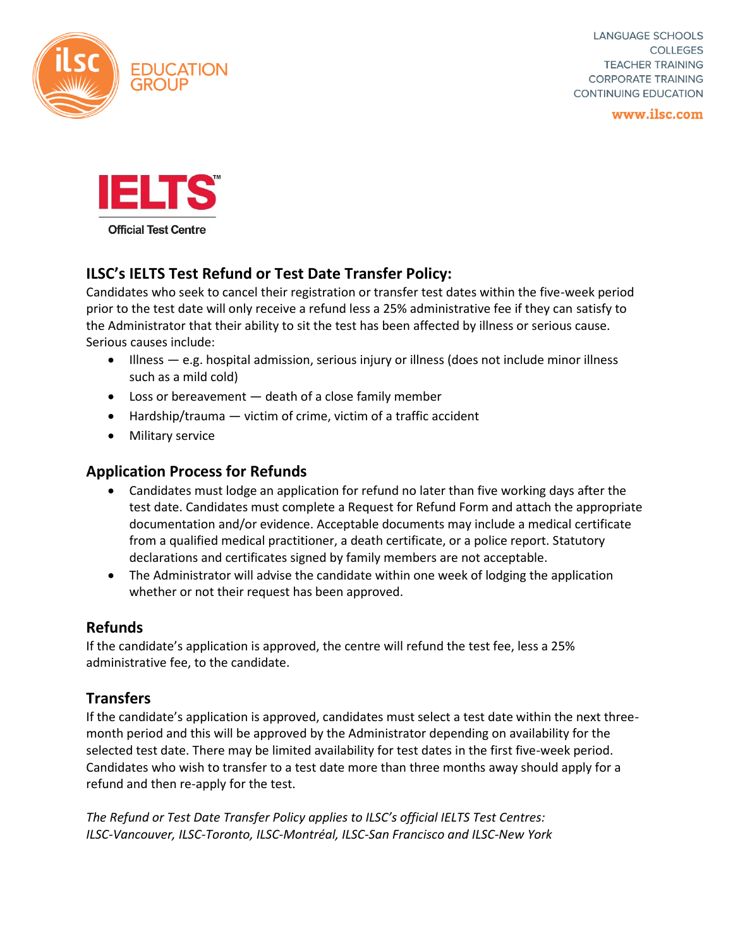

**LANGUAGE SCHOOLS** COLLEGES **TEACHER TRAINING CORPORATE TRAINING CONTINUING EDUCATION** 

www.ilsc.com



# **ILSC's IELTS Test Refund or Test Date Transfer Policy:**

Candidates who seek to cancel their registration or transfer test dates within the five-week period prior to the test date will only receive a refund less a 25% administrative fee if they can satisfy to the Administrator that their ability to sit the test has been affected by illness or serious cause. Serious causes include:

- Illness e.g. hospital admission, serious injury or illness (does not include minor illness such as a mild cold)
- Loss or bereavement death of a close family member
- $\bullet$  Hardship/trauma  $-$  victim of crime, victim of a traffic accident
- Military service

### **Application Process for Refunds**

- Candidates must lodge an application for refund no later than five working days after the test date. Candidates must complete a Request for Refund Form and attach the appropriate documentation and/or evidence. Acceptable documents may include a medical certificate from a qualified medical practitioner, a death certificate, or a police report. Statutory declarations and certificates signed by family members are not acceptable.
- The Administrator will advise the candidate within one week of lodging the application whether or not their request has been approved.

#### **Refunds**

If the candidate's application is approved, the centre will refund the test fee, less a 25% administrative fee, to the candidate.

## **Transfers**

If the candidate's application is approved, candidates must select a test date within the next threemonth period and this will be approved by the Administrator depending on availability for the selected test date. There may be limited availability for test dates in the first five-week period. Candidates who wish to transfer to a test date more than three months away should apply for a refund and then re-apply for the test.

*The Refund or Test Date Transfer Policy applies to ILSC's official IELTS Test Centres: ILSC-Vancouver, ILSC-Toronto, ILSC-Montréal, ILSC-San Francisco and ILSC-New York*